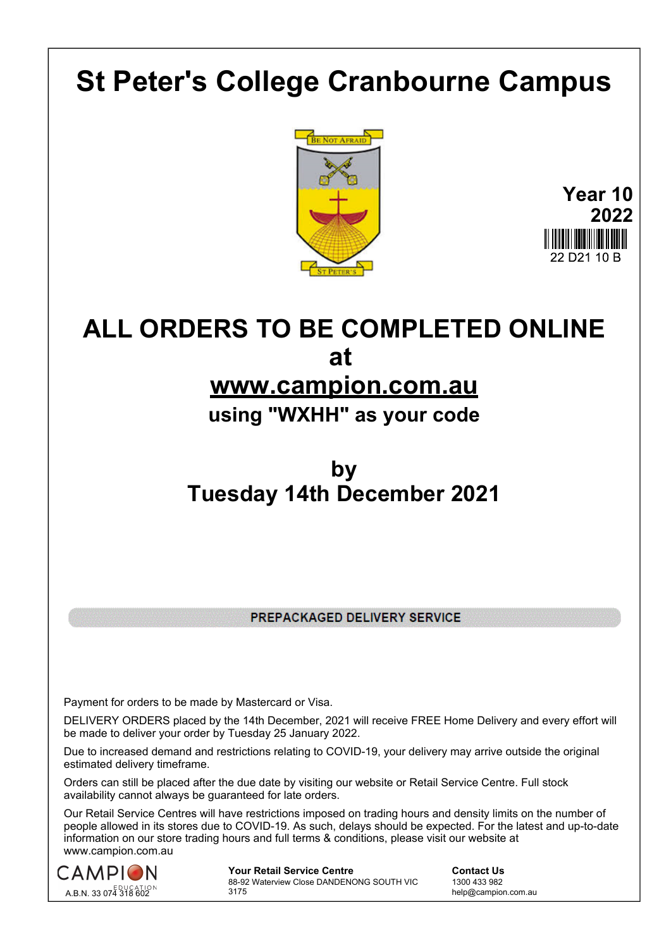# **St Peter's College Cranbourne Campus**





# **ALL ORDERS TO BE COMPLETED ONLINE at www.campion.com.au**

## **using "WXHH" as your code**

### **by Tuesday 14th December 2021**

PREPACKAGED DELIVERY SERVICE

Payment for orders to be made by Mastercard or Visa.

DELIVERY ORDERS placed by the 14th December, 2021 will receive FREE Home Delivery and every effort will be made to deliver your order by Tuesday 25 January 2022.

Due to increased demand and restrictions relating to COVID-19, your delivery may arrive outside the original estimated delivery timeframe.

Orders can still be placed after the due date by visiting our website or Retail Service Centre. Full stock availability cannot always be guaranteed for late orders.

Our Retail Service Centres will have restrictions imposed on trading hours and density limits on the number of people allowed in its stores due to COVID-19. As such, delays should be expected. For the latest and up-to-date information on our store trading hours and full terms & conditions, please visit our website at www.campion.com.au



**Your Retail Service Centre Contact Us** 88-92 Waterview Close DANDENONG SOUTH VIC 3175

1300 433 982 help@campion.com.au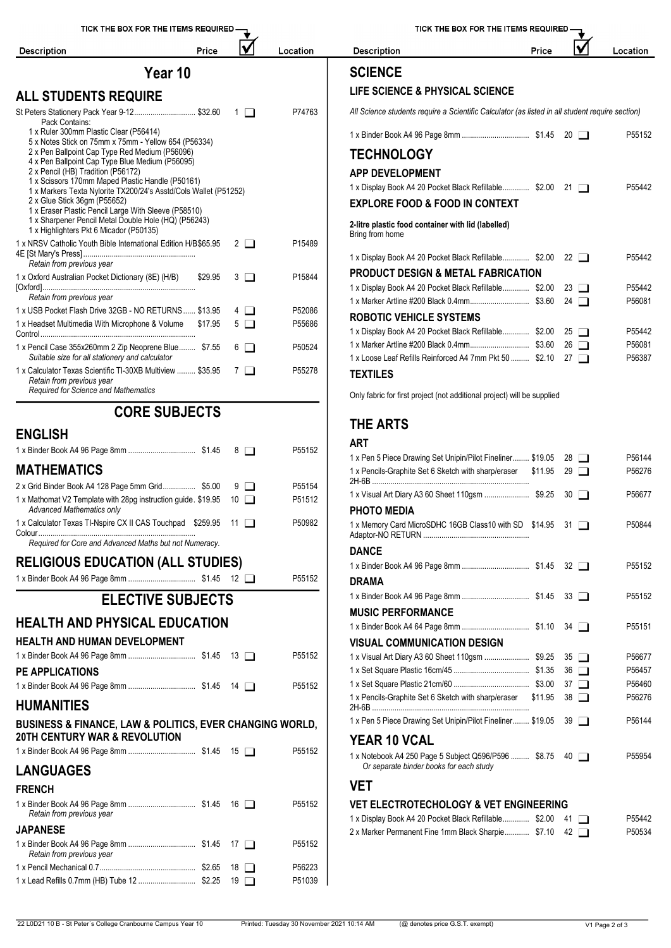

| TICK THE BOX FOR THE ITEMS REQUIRED                                                             |         |                    |          |  |  |  |  |
|-------------------------------------------------------------------------------------------------|---------|--------------------|----------|--|--|--|--|
| <b>Description</b>                                                                              | Price   |                    | Location |  |  |  |  |
| <b>SCIENCE</b>                                                                                  |         |                    |          |  |  |  |  |
| LIFE SCIENCE & PHYSICAL SCIENCE                                                                 |         |                    |          |  |  |  |  |
| All Science students require a Scientific Calculator (as listed in all student require section) |         |                    |          |  |  |  |  |
|                                                                                                 |         | $20 \Box$          | P55152   |  |  |  |  |
| <b>TECHNOLOGY</b>                                                                               |         |                    |          |  |  |  |  |
| <b>APP DEVELOPMENT</b>                                                                          |         |                    |          |  |  |  |  |
| 1 x Display Book A4 20 Pocket Black Refillable \$2.00                                           |         | $21 \Box$          | P55442   |  |  |  |  |
| <b>EXPLORE FOOD &amp; FOOD IN CONTEXT</b>                                                       |         |                    |          |  |  |  |  |
| 2-litre plastic food container with lid (labelled)<br>Bring from home                           |         |                    |          |  |  |  |  |
| 1 x Display Book A4 20 Pocket Black Refillable \$2.00                                           |         | 22 $\Box$          | P55442   |  |  |  |  |
| <b>PRODUCT DESIGN &amp; METAL FABRICATION</b>                                                   |         |                    |          |  |  |  |  |
| 1 x Display Book A4 20 Pocket Black Refillable \$2.00                                           |         | $23 \Box$          | P55442   |  |  |  |  |
|                                                                                                 |         | 24 $\Box$          | P56081   |  |  |  |  |
| <b>ROBOTIC VEHICLE SYSTEMS</b>                                                                  |         |                    |          |  |  |  |  |
| 1 x Display Book A4 20 Pocket Black Refillable \$2.00                                           |         | $25 \mid \mid$     | P55442   |  |  |  |  |
|                                                                                                 |         | $26 \Box$          | P56081   |  |  |  |  |
| 1 x Loose Leaf Refills Reinforced A4 7mm Pkt 50  \$2.10                                         |         | 27 $\Box$          | P56387   |  |  |  |  |
| TEXTILES                                                                                        |         |                    |          |  |  |  |  |
| Only fabric for first project (not additional project) will be supplied                         |         |                    |          |  |  |  |  |
| THE ARTS                                                                                        |         |                    |          |  |  |  |  |
| ART                                                                                             |         |                    |          |  |  |  |  |
| 1 x Pen 5 Piece Drawing Set Unipin/Pilot Fineliner \$19.05                                      |         | 28<br>$\mathbf{L}$ | P56144   |  |  |  |  |
| 1 x Pencils-Graphite Set 6 Sketch with sharp/eraser                                             | \$11.95 | 29<br>$\Box$       | P56276   |  |  |  |  |
|                                                                                                 |         | 30 L I             | P56677   |  |  |  |  |
| PHOTO MEDIA                                                                                     |         |                    |          |  |  |  |  |
| 1 x Memory Card MicroSDHC 16GB Class10 with SD \$14.95                                          |         | 31                 | P50844   |  |  |  |  |
| <b>DANCE</b>                                                                                    |         |                    |          |  |  |  |  |
|                                                                                                 |         | 32 O               | P55152   |  |  |  |  |
| DRAMA                                                                                           |         |                    |          |  |  |  |  |
|                                                                                                 |         | $33\Box$           | P55152   |  |  |  |  |
| <b>MUSIC PERFORMANCE</b>                                                                        |         |                    |          |  |  |  |  |

#### **VET**

**YEAR 10 VCAL**

### **VET ELECTROTECHOLOGY & VET ENGINEERING**

**VISUAL COMMUNICATION DESIGN**

*Or separate binder books for each study*

| 1 x Display Book A4 20 Pocket Black Refillable \$2.00 41 |  | P55442 |
|----------------------------------------------------------|--|--------|
| 2 x Marker Permanent Fine 1mm Black Sharpie \$7.10 42    |  | P50534 |

1 x Binder Book A4 64 Page 8mm ................................. \$1.10 34 P55151

1 x Visual Art Diary A3 60 Sheet 110gsm ...................... \$9.25 35 P56677 1 x Set Square Plastic 16cm/45 ..................................... \$1.35 36 P56457 1 x Set Square Plastic 21cm/60 ..................................... \$3.00 37 P56460

1 x Pen 5 Piece Drawing Set Unipin/Pilot Fineliner........ \$19.05 39 PS6144

1 x Notebook A4 250 Page 5 Subject Q596/P596 ......... \$8.75 40 PS5954

1 x Pencils-Graphite Set 6 Sketch with sharp/eraser 2H-6B ............................................................................. \$11.95 <sup>38</sup> P56276